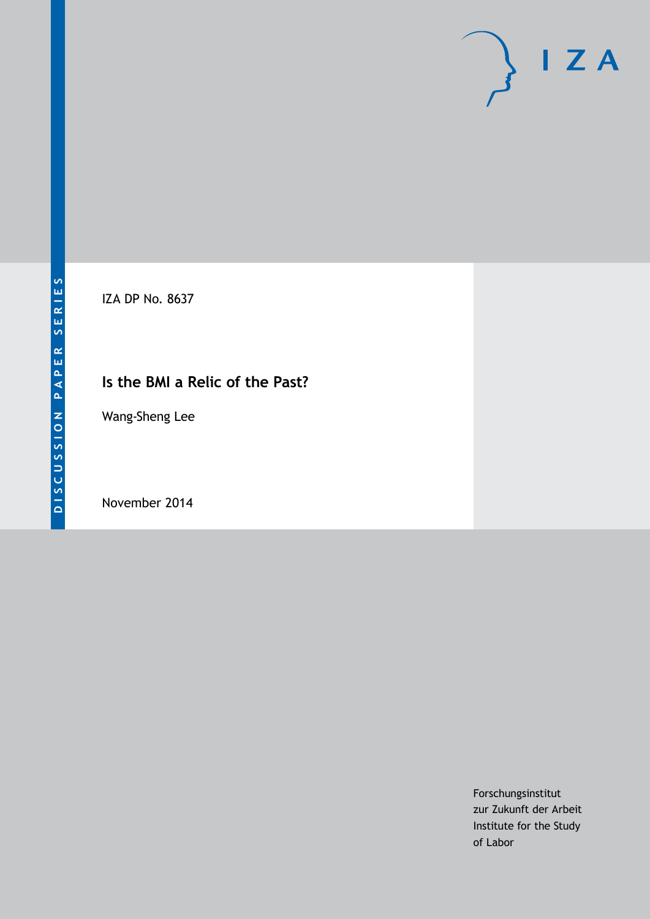

IZA DP No. 8637

### **Is the BMI a Relic of the Past?**

Wang-Sheng Lee

November 2014

Forschungsinstitut zur Zukunft der Arbeit Institute for the Study of Labor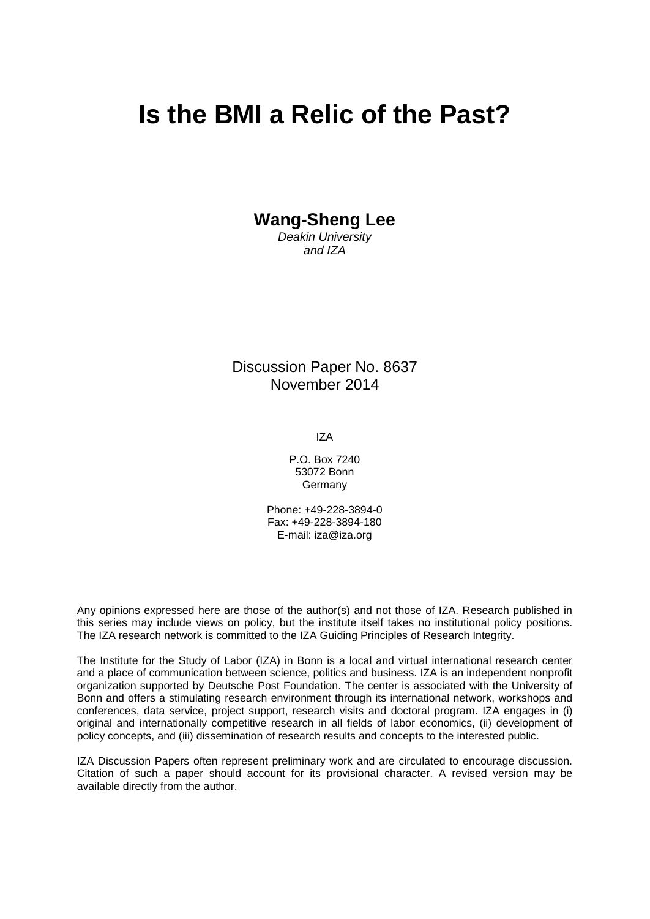# **Is the BMI a Relic of the Past?**

**Wang-Sheng Lee**

*Deakin University and IZA*

Discussion Paper No. 8637 November 2014

IZA

P.O. Box 7240 53072 Bonn Germany

Phone: +49-228-3894-0 Fax: +49-228-3894-180 E-mail: [iza@iza.org](mailto:iza@iza.org)

Any opinions expressed here are those of the author(s) and not those of IZA. Research published in this series may include views on policy, but the institute itself takes no institutional policy positions. The IZA research network is committed to the IZA Guiding Principles of Research Integrity.

The Institute for the Study of Labor (IZA) in Bonn is a local and virtual international research center and a place of communication between science, politics and business. IZA is an independent nonprofit organization supported by Deutsche Post Foundation. The center is associated with the University of Bonn and offers a stimulating research environment through its international network, workshops and conferences, data service, project support, research visits and doctoral program. IZA engages in (i) original and internationally competitive research in all fields of labor economics, (ii) development of policy concepts, and (iii) dissemination of research results and concepts to the interested public.

<span id="page-1-0"></span>IZA Discussion Papers often represent preliminary work and are circulated to encourage discussion. Citation of such a paper should account for its provisional character. A revised version may be available directly from the author.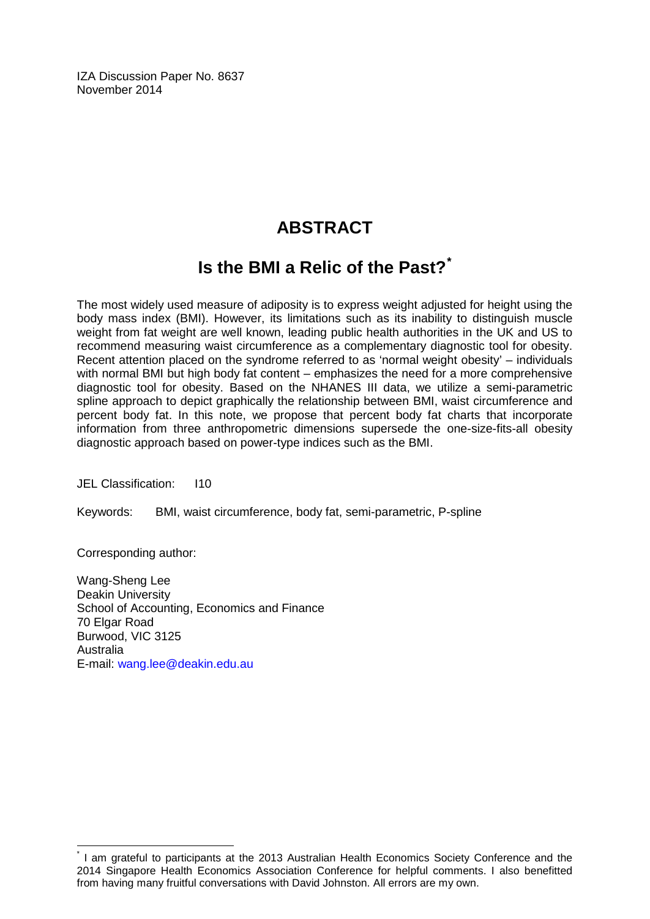IZA Discussion Paper No. 8637 November 2014

# **ABSTRACT**

# **Is the BMI a Relic of the Past?[\\*](#page-1-0)**

The most widely used measure of adiposity is to express weight adjusted for height using the body mass index (BMI). However, its limitations such as its inability to distinguish muscle weight from fat weight are well known, leading public health authorities in the UK and US to recommend measuring waist circumference as a complementary diagnostic tool for obesity. Recent attention placed on the syndrome referred to as 'normal weight obesity' – individuals with normal BMI but high body fat content – emphasizes the need for a more comprehensive diagnostic tool for obesity. Based on the NHANES III data, we utilize a semi-parametric spline approach to depict graphically the relationship between BMI, waist circumference and percent body fat. In this note, we propose that percent body fat charts that incorporate information from three anthropometric dimensions supersede the one-size-fits-all obesity diagnostic approach based on power-type indices such as the BMI.

JEL Classification: I10

Keywords: BMI, waist circumference, body fat, semi-parametric, P-spline

Corresponding author:

Wang-Sheng Lee Deakin University School of Accounting, Economics and Finance 70 Elgar Road Burwood, VIC 3125 Australia E-mail: [wang.lee@deakin.edu.au](mailto:wang.lee@deakin.edu.au)

\* I am grateful to participants at the 2013 Australian Health Economics Society Conference and the 2014 Singapore Health Economics Association Conference for helpful comments. I also benefitted from having many fruitful conversations with David Johnston. All errors are my own.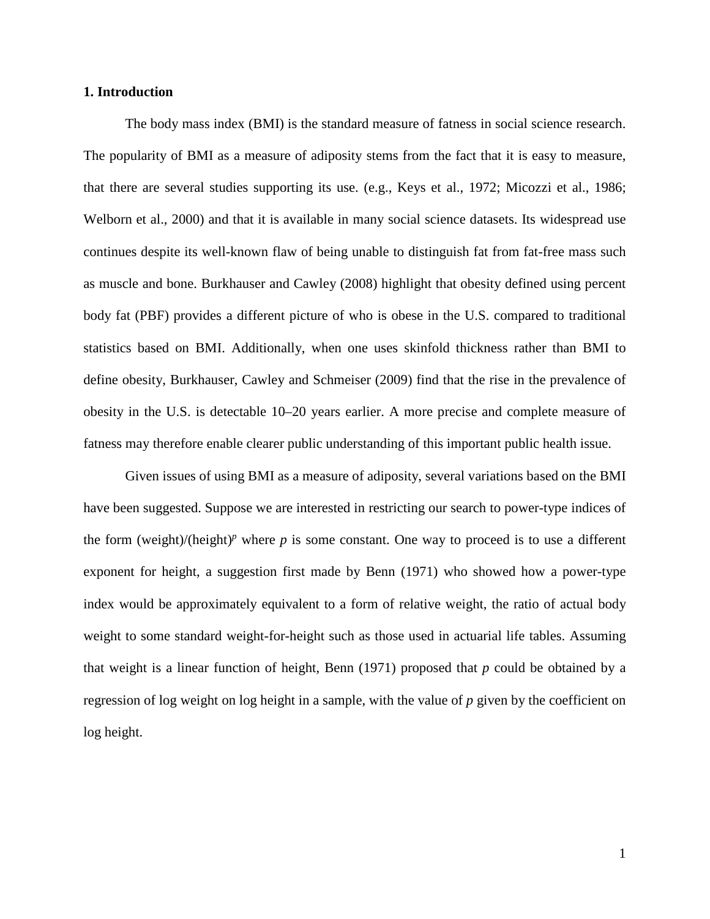#### **1. Introduction**

The body mass index (BMI) is the standard measure of fatness in social science research. The popularity of BMI as a measure of adiposity stems from the fact that it is easy to measure, that there are several studies supporting its use. (e.g., Keys et al., 1972; Micozzi et al., 1986; Welborn et al., 2000) and that it is available in many social science datasets. Its widespread use continues despite its well-known flaw of being unable to distinguish fat from fat-free mass such as muscle and bone. Burkhauser and Cawley (2008) highlight that obesity defined using percent body fat (PBF) provides a different picture of who is obese in the U.S. compared to traditional statistics based on BMI. Additionally, when one uses skinfold thickness rather than BMI to define obesity, Burkhauser, Cawley and Schmeiser (2009) find that the rise in the prevalence of obesity in the U.S. is detectable 10–20 years earlier. A more precise and complete measure of fatness may therefore enable clearer public understanding of this important public health issue.

Given issues of using BMI as a measure of adiposity, several variations based on the BMI have been suggested. Suppose we are interested in restricting our search to power-type indices of the form (weight)/(height)<sup>*p*</sup> where *p* is some constant. One way to proceed is to use a different exponent for height, a suggestion first made by Benn (1971) who showed how a power-type index would be approximately equivalent to a form of relative weight, the ratio of actual body weight to some standard weight-for-height such as those used in actuarial life tables. Assuming that weight is a linear function of height, Benn (1971) proposed that *p* could be obtained by a regression of log weight on log height in a sample, with the value of *p* given by the coefficient on log height.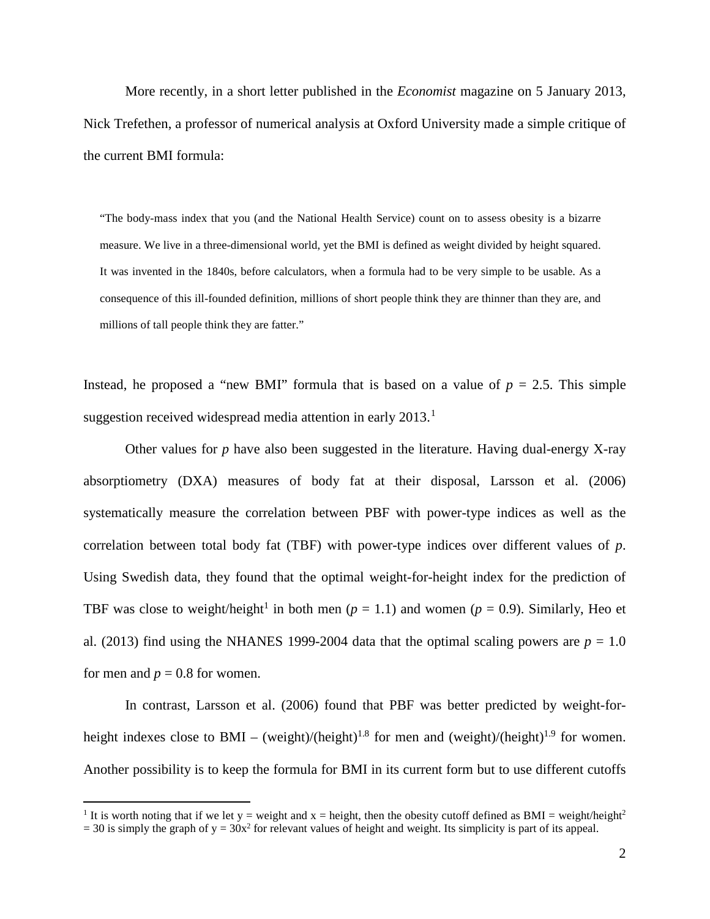More recently, in a short letter published in the *Economist* magazine on 5 January 2013, Nick Trefethen, a professor of numerical analysis at Oxford University made a simple critique of the current BMI formula:

"The body-mass index that you (and the National Health Service) count on to assess obesity is a bizarre measure. We live in a three-dimensional world, yet the BMI is defined as weight divided by height squared. It was invented in the 1840s, before calculators, when a formula had to be very simple to be usable. As a consequence of this ill-founded definition, millions of short people think they are thinner than they are, and millions of tall people think they are fatter."

Instead, he proposed a "new BMI" formula that is based on a value of  $p = 2.5$ . This simple suggestion received widespread media attention in early  $2013$  $2013$  $2013$ <sup>1</sup>

Other values for *p* have also been suggested in the literature. Having dual-energy X-ray absorptiometry (DXA) measures of body fat at their disposal, Larsson et al. (2006) systematically measure the correlation between PBF with power-type indices as well as the correlation between total body fat (TBF) with power-type indices over different values of *p*. Using Swedish data, they found that the optimal weight-for-height index for the prediction of TBF was close to weight/height<sup>1</sup> in both men ( $p = 1.1$ ) and women ( $p = 0.9$ ). Similarly, Heo et al. (2013) find using the NHANES 1999-2004 data that the optimal scaling powers are  $p = 1.0$ for men and  $p = 0.8$  for women.

In contrast, Larsson et al. (2006) found that PBF was better predicted by weight-forheight indexes close to BMI – (weight)/(height)<sup>1.8</sup> for men and (weight)/(height)<sup>1.9</sup> for women. Another possibility is to keep the formula for BMI in its current form but to use different cutoffs

 $\overline{a}$ 

<span id="page-4-0"></span><sup>&</sup>lt;sup>1</sup> It is worth noting that if we let y = weight and x = height, then the obesity cutoff defined as BMI = weight/height<sup>2</sup>  $= 30$  is simply the graph of y =  $30x^2$  for relevant values of height and weight. Its simplicity is part of its appeal.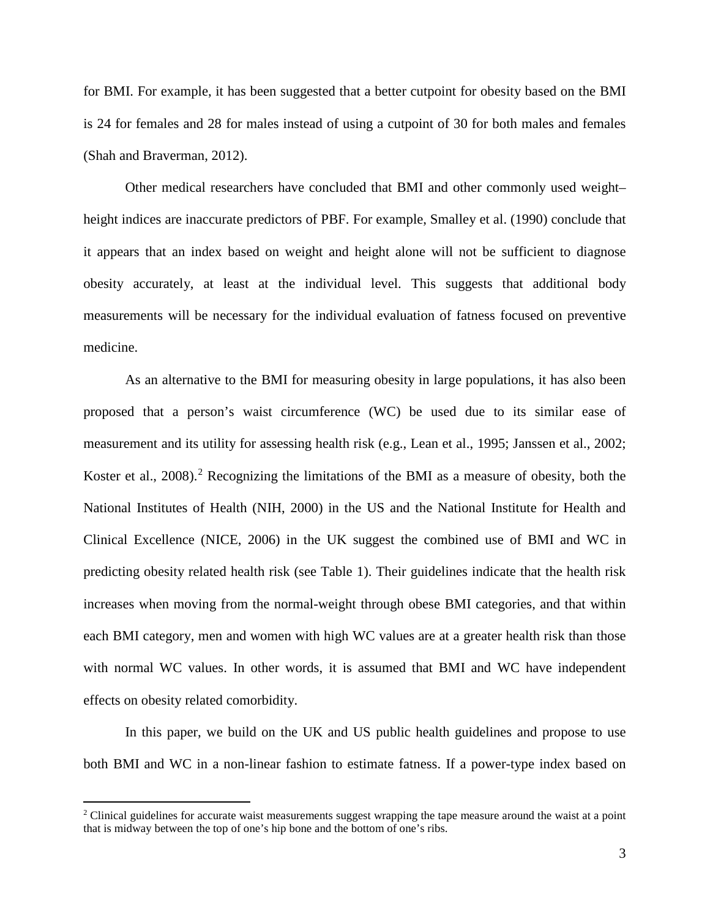for BMI. For example, it has been suggested that a better cutpoint for obesity based on the BMI is 24 for females and 28 for males instead of using a cutpoint of 30 for both males and females (Shah and Braverman, 2012).

Other medical researchers have concluded that BMI and other commonly used weight– height indices are inaccurate predictors of PBF. For example, Smalley et al. (1990) conclude that it appears that an index based on weight and height alone will not be sufficient to diagnose obesity accurately, at least at the individual level. This suggests that additional body measurements will be necessary for the individual evaluation of fatness focused on preventive medicine.

As an alternative to the BMI for measuring obesity in large populations, it has also been proposed that a person's waist circumference (WC) be used due to its similar ease of measurement and its utility for assessing health risk (e.g., Lean et al., 1995; Janssen et al., 2002; Koster et al., [2](#page-5-0)008).<sup>2</sup> Recognizing the limitations of the BMI as a measure of obesity, both the National Institutes of Health (NIH, 2000) in the US and the National Institute for Health and Clinical Excellence (NICE, 2006) in the UK suggest the combined use of BMI and WC in predicting obesity related health risk (see Table 1). Their guidelines indicate that the health risk increases when moving from the normal-weight through obese BMI categories, and that within each BMI category, men and women with high WC values are at a greater health risk than those with normal WC values. In other words, it is assumed that BMI and WC have independent effects on obesity related comorbidity.

In this paper, we build on the UK and US public health guidelines and propose to use both BMI and WC in a non-linear fashion to estimate fatness. If a power-type index based on

 $\overline{a}$ 

<span id="page-5-0"></span><sup>&</sup>lt;sup>2</sup> Clinical guidelines for accurate waist measurements suggest wrapping the tape measure around the waist at a point that is midway between the top of one's hip bone and the bottom of one's ribs.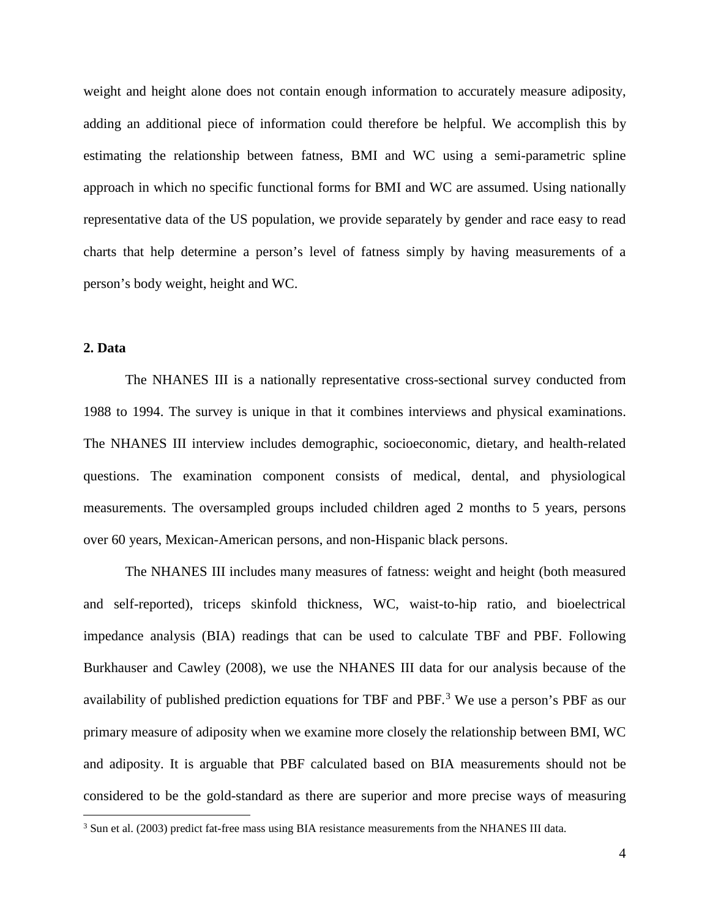weight and height alone does not contain enough information to accurately measure adiposity, adding an additional piece of information could therefore be helpful. We accomplish this by estimating the relationship between fatness, BMI and WC using a semi-parametric spline approach in which no specific functional forms for BMI and WC are assumed. Using nationally representative data of the US population, we provide separately by gender and race easy to read charts that help determine a person's level of fatness simply by having measurements of a person's body weight, height and WC.

### **2. Data**

 $\overline{a}$ 

The NHANES III is a nationally representative cross-sectional survey conducted from 1988 to 1994. The survey is unique in that it combines interviews and physical examinations. The NHANES III interview includes demographic, socioeconomic, dietary, and health-related questions. The examination component consists of medical, dental, and physiological measurements. The oversampled groups included children aged 2 months to 5 years, persons over 60 years, Mexican-American persons, and non-Hispanic black persons.

The NHANES III includes many measures of fatness: weight and height (both measured and self-reported), triceps skinfold thickness, WC, waist-to-hip ratio, and bioelectrical impedance analysis (BIA) readings that can be used to calculate TBF and PBF. Following Burkhauser and Cawley (2008), we use the NHANES III data for our analysis because of the availability of published prediction equations for TBF and PBF.<sup>[3](#page-6-0)</sup> We use a person's PBF as our primary measure of adiposity when we examine more closely the relationship between BMI, WC and adiposity. It is arguable that PBF calculated based on BIA measurements should not be considered to be the gold-standard as there are superior and more precise ways of measuring

<span id="page-6-0"></span><sup>&</sup>lt;sup>3</sup> Sun et al. (2003) predict fat-free mass using BIA resistance measurements from the NHANES III data.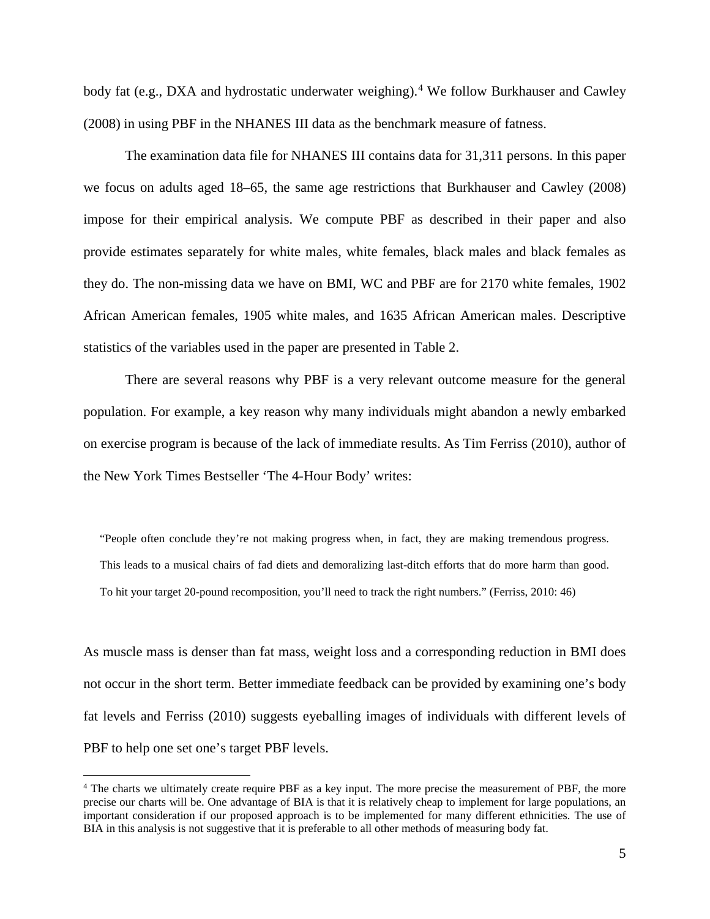body fat (e.g., DXA and hydrostatic underwater weighing). [4](#page-7-0) We follow Burkhauser and Cawley (2008) in using PBF in the NHANES III data as the benchmark measure of fatness.

The examination data file for NHANES III contains data for 31,311 persons. In this paper we focus on adults aged 18–65, the same age restrictions that Burkhauser and Cawley (2008) impose for their empirical analysis. We compute PBF as described in their paper and also provide estimates separately for white males, white females, black males and black females as they do. The non-missing data we have on BMI, WC and PBF are for 2170 white females, 1902 African American females, 1905 white males, and 1635 African American males. Descriptive statistics of the variables used in the paper are presented in Table 2.

There are several reasons why PBF is a very relevant outcome measure for the general population. For example, a key reason why many individuals might abandon a newly embarked on exercise program is because of the lack of immediate results. As Tim Ferriss (2010), author of the New York Times Bestseller 'The 4-Hour Body' writes:

"People often conclude they're not making progress when, in fact, they are making tremendous progress. This leads to a musical chairs of fad diets and demoralizing last-ditch efforts that do more harm than good. To hit your target 20-pound recomposition, you'll need to track the right numbers." (Ferriss, 2010: 46)

As muscle mass is denser than fat mass, weight loss and a corresponding reduction in BMI does not occur in the short term. Better immediate feedback can be provided by examining one's body fat levels and Ferriss (2010) suggests eyeballing images of individuals with different levels of PBF to help one set one's target PBF levels.

 $\overline{a}$ 

<span id="page-7-0"></span><sup>4</sup> The charts we ultimately create require PBF as a key input. The more precise the measurement of PBF, the more precise our charts will be. One advantage of BIA is that it is relatively cheap to implement for large populations, an important consideration if our proposed approach is to be implemented for many different ethnicities. The use of BIA in this analysis is not suggestive that it is preferable to all other methods of measuring body fat.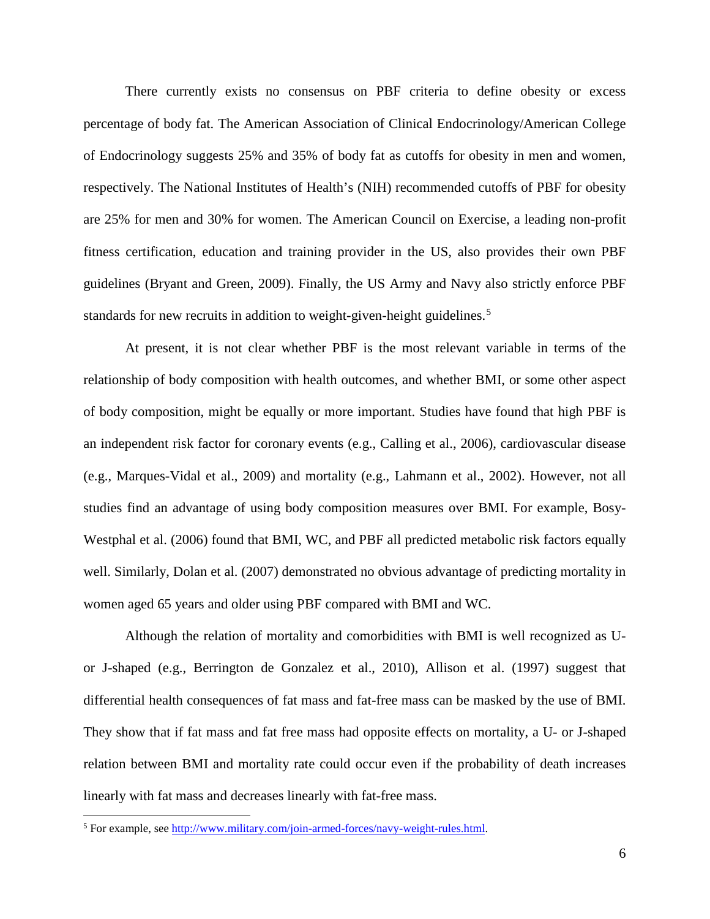There currently exists no consensus on PBF criteria to define obesity or excess percentage of body fat. The American Association of Clinical Endocrinology/American College of Endocrinology suggests 25% and 35% of body fat as cutoffs for obesity in men and women, respectively. The National Institutes of Health's (NIH) recommended cutoffs of PBF for obesity are 25% for men and 30% for women. The American Council on Exercise, a leading non-profit fitness certification, education and training provider in the US, also provides their own PBF guidelines (Bryant and Green, 2009). Finally, the US Army and Navy also strictly enforce PBF standards for new recruits in addition to weight-given-height guidelines.<sup>[5](#page-8-0)</sup>

At present, it is not clear whether PBF is the most relevant variable in terms of the relationship of body composition with health outcomes, and whether BMI, or some other aspect of body composition, might be equally or more important. Studies have found that high PBF is an independent risk factor for coronary events (e.g., Calling et al., 2006), cardiovascular disease (e.g., Marques-Vidal et al., 2009) and mortality (e.g., Lahmann et al., 2002). However, not all studies find an advantage of using body composition measures over BMI. For example, Bosy-Westphal et al. (2006) found that BMI, WC, and PBF all predicted metabolic risk factors equally well. Similarly, Dolan et al. (2007) demonstrated no obvious advantage of predicting mortality in women aged 65 years and older using PBF compared with BMI and WC.

Although the relation of mortality and comorbidities with BMI is well recognized as Uor J-shaped (e.g., Berrington de Gonzalez et al., 2010), Allison et al. (1997) suggest that differential health consequences of fat mass and fat-free mass can be masked by the use of BMI. They show that if fat mass and fat free mass had opposite effects on mortality, a U- or J-shaped relation between BMI and mortality rate could occur even if the probability of death increases linearly with fat mass and decreases linearly with fat-free mass.

 $\overline{a}$ 

<span id="page-8-0"></span><sup>&</sup>lt;sup>5</sup> For example, see [http://www.military.com/join-armed-forces/navy-weight-rules.html.](http://www.military.com/join-armed-forces/navy-weight-rules.html)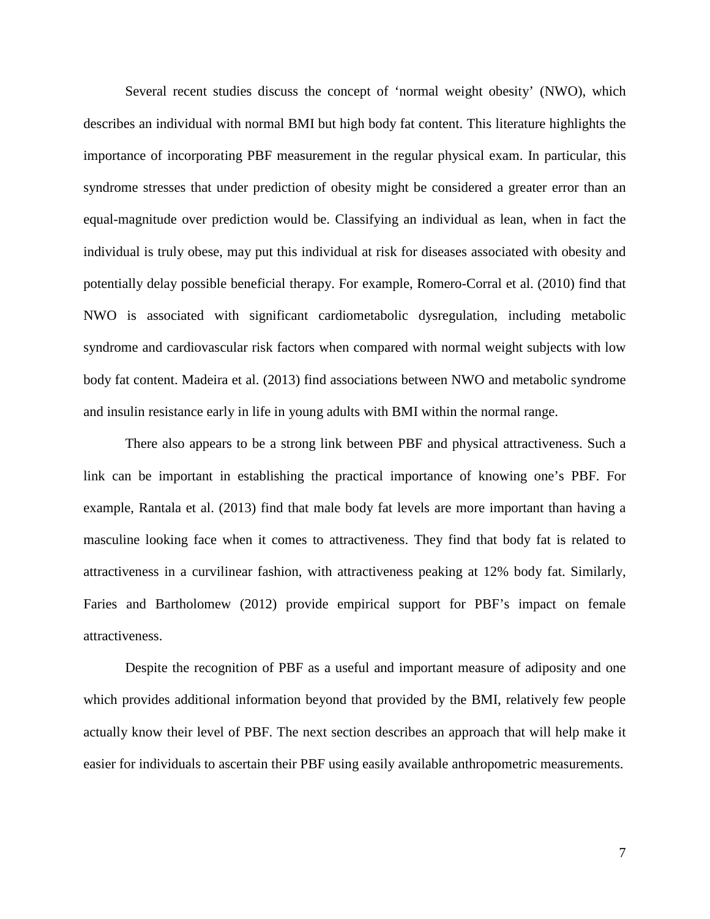Several recent studies discuss the concept of 'normal weight obesity' (NWO), which describes an individual with normal BMI but high body fat content. This literature highlights the importance of incorporating PBF measurement in the regular physical exam. In particular, this syndrome stresses that under prediction of obesity might be considered a greater error than an equal-magnitude over prediction would be. Classifying an individual as lean, when in fact the individual is truly obese, may put this individual at risk for diseases associated with obesity and potentially delay possible beneficial therapy. For example, Romero-Corral et al. (2010) find that NWO is associated with significant cardiometabolic dysregulation, including metabolic syndrome and cardiovascular risk factors when compared with normal weight subjects with low body fat content. Madeira et al. (2013) find associations between NWO and metabolic syndrome and insulin resistance early in life in young adults with BMI within the normal range.

There also appears to be a strong link between PBF and physical attractiveness. Such a link can be important in establishing the practical importance of knowing one's PBF. For example, Rantala et al. (2013) find that male body fat levels are more important than having a masculine looking face when it comes to attractiveness. They find that body fat is related to attractiveness in a curvilinear fashion, with attractiveness peaking at 12% body fat. Similarly, Faries and Bartholomew (2012) provide empirical support for PBF's impact on female attractiveness.

Despite the recognition of PBF as a useful and important measure of adiposity and one which provides additional information beyond that provided by the BMI, relatively few people actually know their level of PBF. The next section describes an approach that will help make it easier for individuals to ascertain their PBF using easily available anthropometric measurements.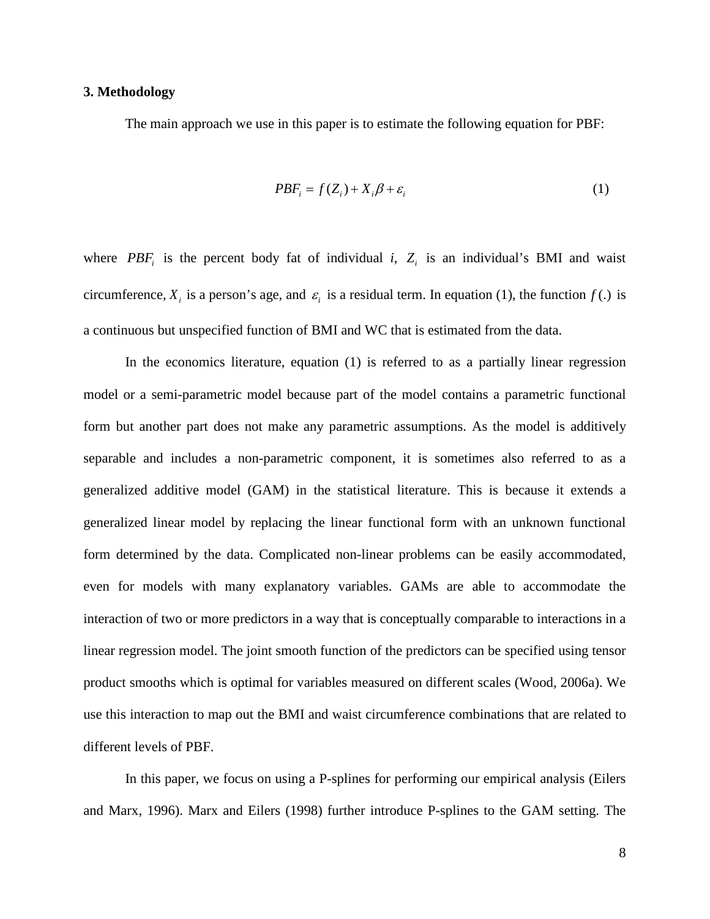#### **3. Methodology**

The main approach we use in this paper is to estimate the following equation for PBF:

$$
PBF_i = f(Z_i) + X_i \beta + \varepsilon_i \tag{1}
$$

where  $PBF_i$  is the percent body fat of individual *i*,  $Z_i$  is an individual's BMI and waist circumference,  $X_i$  is a person's age, and  $\varepsilon_i$  is a residual term. In equation (1), the function  $f(.)$  is a continuous but unspecified function of BMI and WC that is estimated from the data.

In the economics literature, equation (1) is referred to as a partially linear regression model or a semi-parametric model because part of the model contains a parametric functional form but another part does not make any parametric assumptions. As the model is additively separable and includes a non-parametric component, it is sometimes also referred to as a generalized additive model (GAM) in the statistical literature. This is because it extends a generalized linear model by replacing the linear functional form with an unknown functional form determined by the data. Complicated non-linear problems can be easily accommodated, even for models with many explanatory variables. GAMs are able to accommodate the interaction of two or more predictors in a way that is conceptually comparable to interactions in a linear regression model. The joint smooth function of the predictors can be specified using tensor product smooths which is optimal for variables measured on different scales (Wood, 2006a). We use this interaction to map out the BMI and waist circumference combinations that are related to different levels of PBF.

In this paper, we focus on using a P-splines for performing our empirical analysis (Eilers and Marx, 1996). Marx and Eilers (1998) further introduce P-splines to the GAM setting. The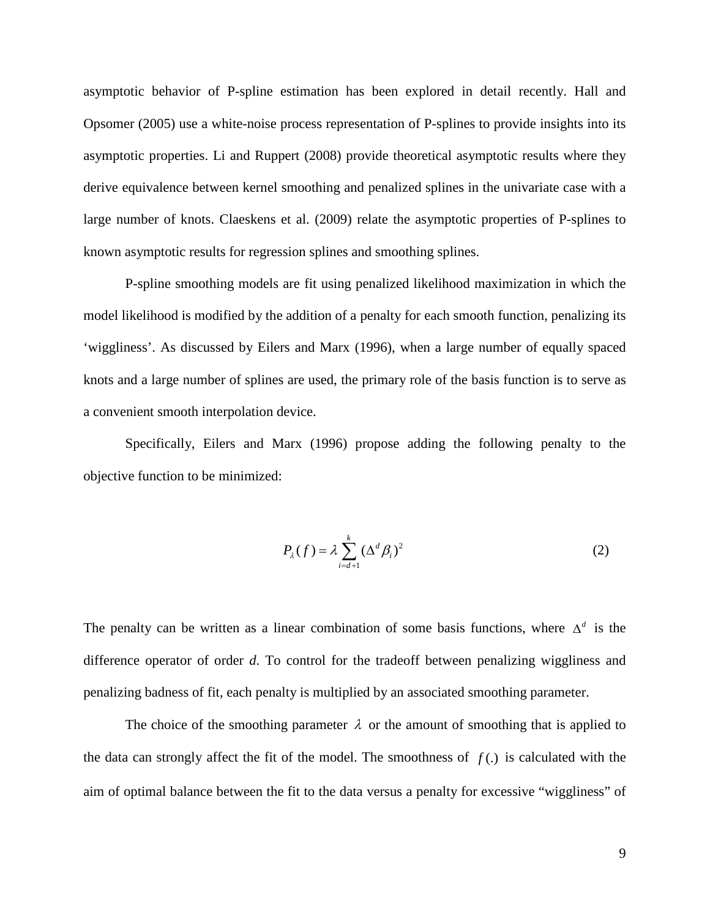asymptotic behavior of P-spline estimation has been explored in detail recently. Hall and Opsomer (2005) use a white-noise process representation of P-splines to provide insights into its asymptotic properties. Li and Ruppert (2008) provide theoretical asymptotic results where they derive equivalence between kernel smoothing and penalized splines in the univariate case with a large number of knots. Claeskens et al. (2009) relate the asymptotic properties of P-splines to known asymptotic results for regression splines and smoothing splines.

P-spline smoothing models are fit using penalized likelihood maximization in which the model likelihood is modified by the addition of a penalty for each smooth function, penalizing its 'wiggliness'. As discussed by Eilers and Marx (1996), when a large number of equally spaced knots and a large number of splines are used, the primary role of the basis function is to serve as a convenient smooth interpolation device.

Specifically, Eilers and Marx (1996) propose adding the following penalty to the objective function to be minimized:

$$
P_{\lambda}(f) = \lambda \sum_{i=d+1}^{k} (\Delta^{d} \beta_{i})^{2}
$$
 (2)

The penalty can be written as a linear combination of some basis functions, where  $\Delta^d$  is the difference operator of order *d*. To control for the tradeoff between penalizing wiggliness and penalizing badness of fit, each penalty is multiplied by an associated smoothing parameter.

The choice of the smoothing parameter  $\lambda$  or the amount of smoothing that is applied to the data can strongly affect the fit of the model. The smoothness of  $f(.)$  is calculated with the aim of optimal balance between the fit to the data versus a penalty for excessive "wiggliness" of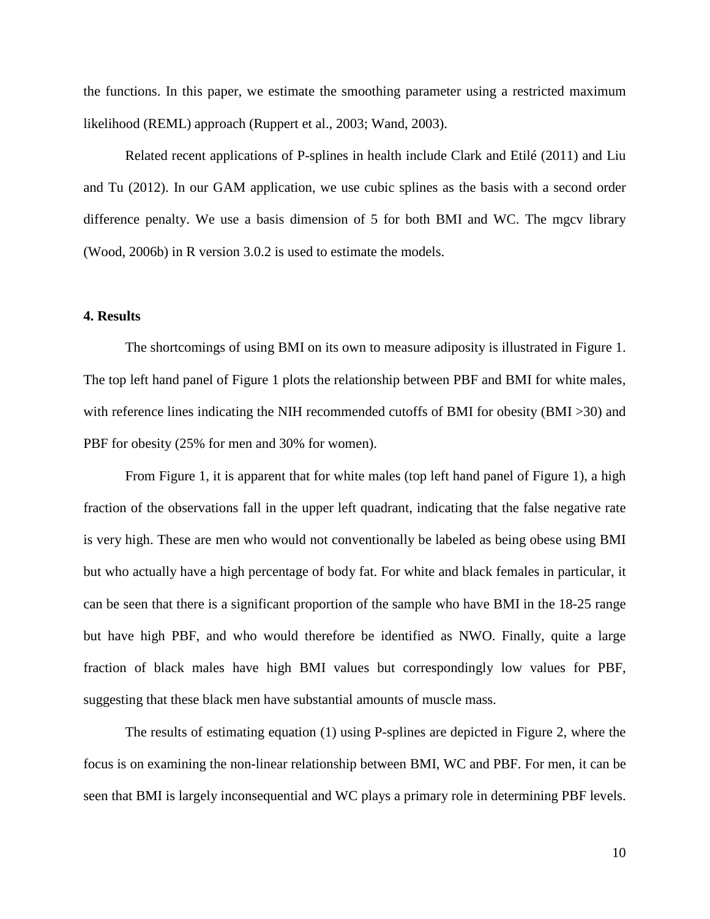the functions. In this paper, we estimate the smoothing parameter using a restricted maximum likelihood (REML) approach (Ruppert et al., 2003; Wand, 2003).

Related recent applications of P-splines in health include Clark and Etilé (2011) and Liu and Tu (2012). In our GAM application, we use cubic splines as the basis with a second order difference penalty. We use a basis dimension of 5 for both BMI and WC. The mgcv library (Wood, 2006b) in R version 3.0.2 is used to estimate the models.

#### **4. Results**

The shortcomings of using BMI on its own to measure adiposity is illustrated in Figure 1. The top left hand panel of Figure 1 plots the relationship between PBF and BMI for white males, with reference lines indicating the NIH recommended cutoffs of BMI for obesity (BMI >30) and PBF for obesity  $(25\%$  for men and 30% for women).

From Figure 1, it is apparent that for white males (top left hand panel of Figure 1), a high fraction of the observations fall in the upper left quadrant, indicating that the false negative rate is very high. These are men who would not conventionally be labeled as being obese using BMI but who actually have a high percentage of body fat. For white and black females in particular, it can be seen that there is a significant proportion of the sample who have BMI in the 18-25 range but have high PBF, and who would therefore be identified as NWO. Finally, quite a large fraction of black males have high BMI values but correspondingly low values for PBF, suggesting that these black men have substantial amounts of muscle mass.

The results of estimating equation (1) using P-splines are depicted in Figure 2, where the focus is on examining the non-linear relationship between BMI, WC and PBF. For men, it can be seen that BMI is largely inconsequential and WC plays a primary role in determining PBF levels.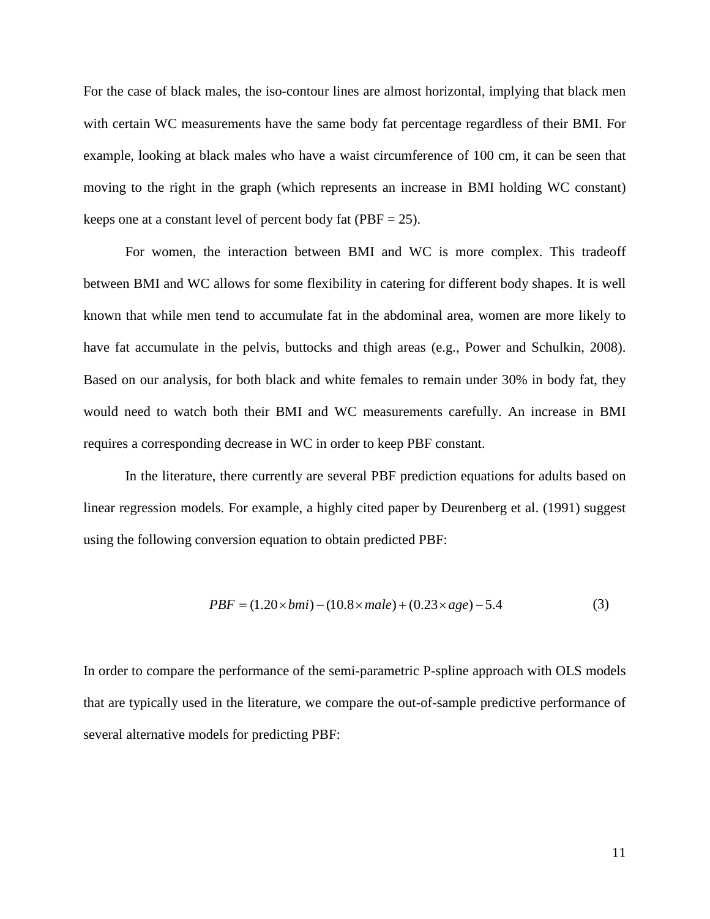For the case of black males, the iso-contour lines are almost horizontal, implying that black men with certain WC measurements have the same body fat percentage regardless of their BMI. For example, looking at black males who have a waist circumference of 100 cm, it can be seen that moving to the right in the graph (which represents an increase in BMI holding WC constant) keeps one at a constant level of percent body fat ( $PBF = 25$ ).

For women, the interaction between BMI and WC is more complex. This tradeoff between BMI and WC allows for some flexibility in catering for different body shapes. It is well known that while men tend to accumulate fat in the abdominal area, women are more likely to have fat accumulate in the pelvis, buttocks and thigh areas (e.g., Power and Schulkin, 2008). Based on our analysis, for both black and white females to remain under 30% in body fat, they would need to watch both their BMI and WC measurements carefully. An increase in BMI requires a corresponding decrease in WC in order to keep PBF constant.

In the literature, there currently are several PBF prediction equations for adults based on linear regression models. For example, a highly cited paper by Deurenberg et al. (1991) suggest using the following conversion equation to obtain predicted PBF:

$$
PBF = (1.20 \times bmi) - (10.8 \times male) + (0.23 \times age) - 5.4
$$
 (3)

In order to compare the performance of the semi-parametric P-spline approach with OLS models that are typically used in the literature, we compare the out-of-sample predictive performance of several alternative models for predicting PBF: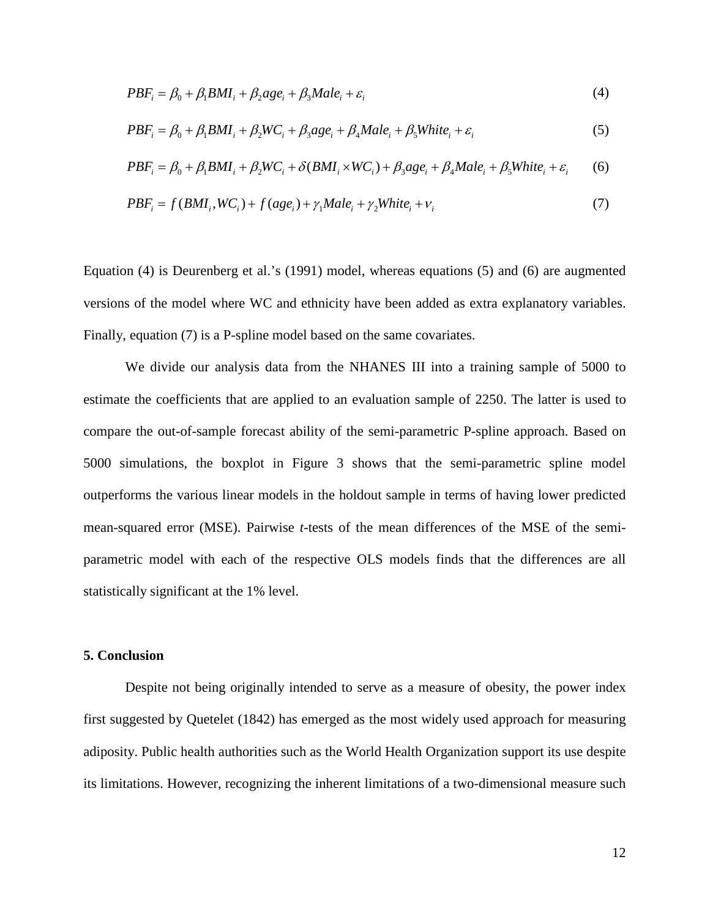$$
PBF_i = \beta_0 + \beta_1 BMI_i + \beta_2 age_i + \beta_3 Male_i + \varepsilon_i
$$
\n(4)

$$
PBF_i = \beta_0 + \beta_1 BMI_i + \beta_2 WC_i + \beta_3 age_i + \beta_4 Male_i + \beta_5 White_i + \varepsilon_i
$$
\n<sup>(5)</sup>

$$
PBF_i = \beta_0 + \beta_1 BMI_i + \beta_2 WC_i + \delta(BMI_i \times WC_i) + \beta_3 age_i + \beta_4 Male_i + \beta_5 White_i + \varepsilon_i
$$
 (6)

$$
PBF_i = f(BMI_i, WC_i) + f(age_i) + \gamma_1 Male_i + \gamma_2 White_i + v_i
$$
\n(7)

Equation (4) is Deurenberg et al.'s (1991) model, whereas equations (5) and (6) are augmented versions of the model where WC and ethnicity have been added as extra explanatory variables. Finally, equation (7) is a P-spline model based on the same covariates.

We divide our analysis data from the NHANES III into a training sample of 5000 to estimate the coefficients that are applied to an evaluation sample of 2250. The latter is used to compare the out-of-sample forecast ability of the semi-parametric P-spline approach. Based on 5000 simulations, the boxplot in Figure 3 shows that the semi-parametric spline model outperforms the various linear models in the holdout sample in terms of having lower predicted mean-squared error (MSE). Pairwise *t*-tests of the mean differences of the MSE of the semiparametric model with each of the respective OLS models finds that the differences are all statistically significant at the 1% level.

#### **5. Conclusion**

Despite not being originally intended to serve as a measure of obesity, the power index first suggested by Quetelet (1842) has emerged as the most widely used approach for measuring adiposity. Public health authorities such as the World Health Organization support its use despite its limitations. However, recognizing the inherent limitations of a two-dimensional measure such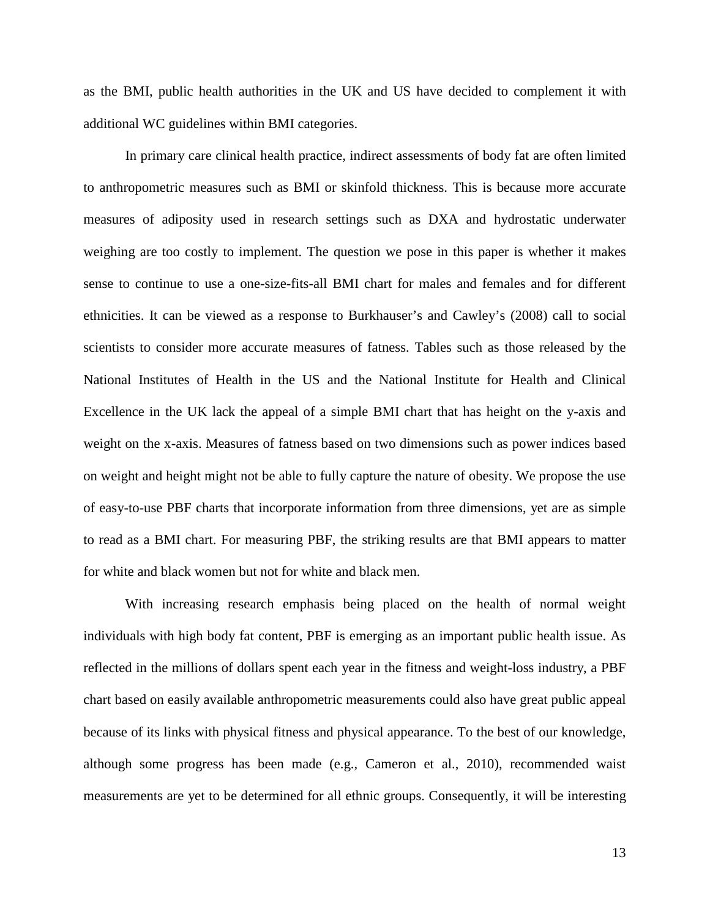as the BMI, public health authorities in the UK and US have decided to complement it with additional WC guidelines within BMI categories.

In primary care clinical health practice, indirect assessments of body fat are often limited to anthropometric measures such as BMI or skinfold thickness. This is because more accurate measures of adiposity used in research settings such as DXA and hydrostatic underwater weighing are too costly to implement. The question we pose in this paper is whether it makes sense to continue to use a one-size-fits-all BMI chart for males and females and for different ethnicities. It can be viewed as a response to Burkhauser's and Cawley's (2008) call to social scientists to consider more accurate measures of fatness. Tables such as those released by the National Institutes of Health in the US and the National Institute for Health and Clinical Excellence in the UK lack the appeal of a simple BMI chart that has height on the y-axis and weight on the x-axis. Measures of fatness based on two dimensions such as power indices based on weight and height might not be able to fully capture the nature of obesity. We propose the use of easy-to-use PBF charts that incorporate information from three dimensions, yet are as simple to read as a BMI chart. For measuring PBF, the striking results are that BMI appears to matter for white and black women but not for white and black men.

With increasing research emphasis being placed on the health of normal weight individuals with high body fat content, PBF is emerging as an important public health issue. As reflected in the millions of dollars spent each year in the fitness and weight-loss industry, a PBF chart based on easily available anthropometric measurements could also have great public appeal because of its links with physical fitness and physical appearance. To the best of our knowledge, although some progress has been made (e.g., Cameron et al., 2010), recommended waist measurements are yet to be determined for all ethnic groups. Consequently, it will be interesting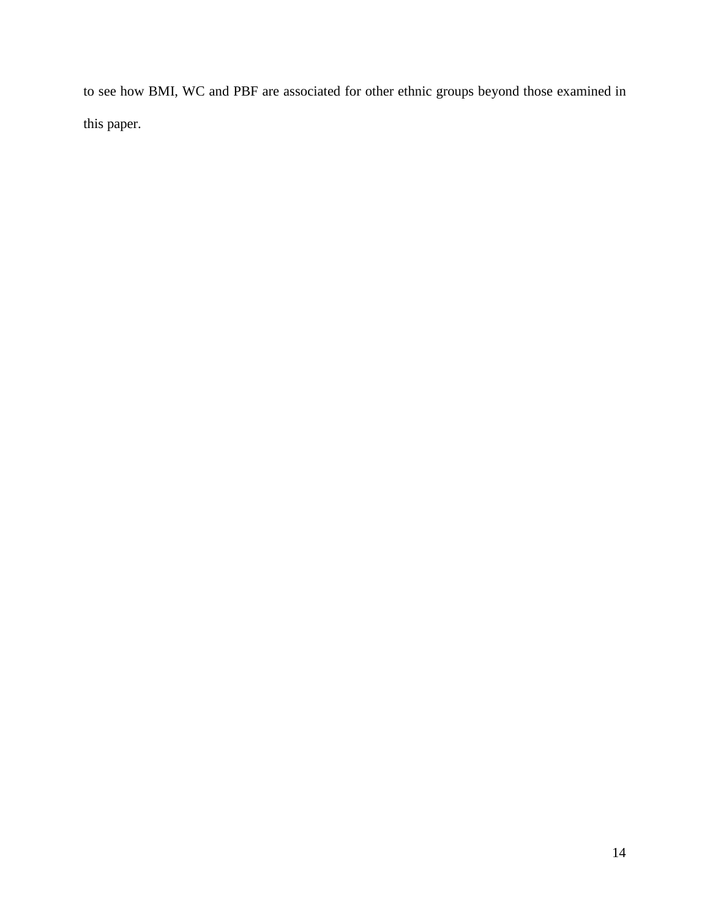to see how BMI, WC and PBF are associated for other ethnic groups beyond those examined in this paper.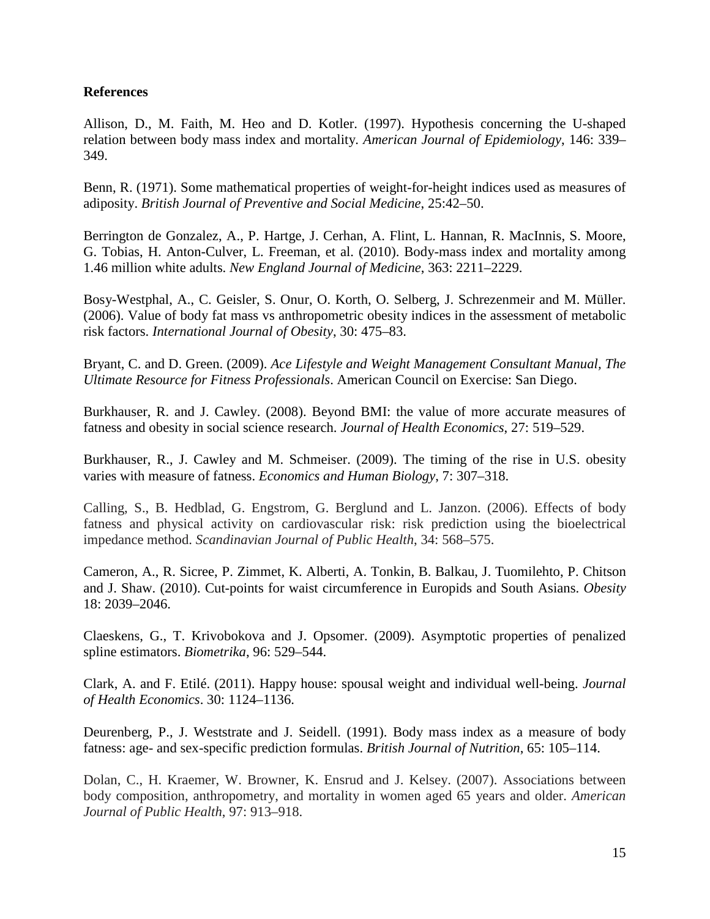### **References**

Allison, D., M. Faith, M. Heo and D. Kotler. (1997). Hypothesis concerning the U-shaped relation between body mass index and mortality. *American Journal of Epidemiology*, 146: 339– 349.

Benn, R. (1971). Some mathematical properties of weight-for-height indices used as measures of adiposity. *British Journal of Preventive and Social Medicine*, 25:42–50.

Berrington de Gonzalez, A., P. Hartge, J. Cerhan, A. Flint, L. Hannan, R. MacInnis, S. Moore, G. Tobias, H. Anton-Culver, L. Freeman, et al. (2010). Body-mass index and mortality among 1.46 million white adults. *New England Journal of Medicine*, 363: 2211–2229.

Bosy-Westphal, A., C. Geisler, S. Onur, O. Korth, O. Selberg, J. Schrezenmeir and M. Müller. (2006). Value of body fat mass vs anthropometric obesity indices in the assessment of metabolic risk factors. *International Journal of Obesity*, 30: 475–83.

Bryant, C. and D. Green. (2009). *Ace Lifestyle and Weight Management Consultant Manual, The Ultimate Resource for Fitness Professionals*. American Council on Exercise: San Diego.

Burkhauser, R. and J. Cawley. (2008). Beyond BMI: the value of more accurate measures of fatness and obesity in social science research. *Journal of Health Economics*, 27: 519–529.

Burkhauser, R., J. Cawley and M. Schmeiser. (2009). The timing of the rise in U.S. obesity varies with measure of fatness. *Economics and Human Biology*, 7: 307–318.

Calling, S., B. Hedblad, G. Engstrom, G. Berglund and L. Janzon. (2006). Effects of body fatness and physical activity on cardiovascular risk: risk prediction using the bioelectrical impedance method. *Scandinavian Journal of Public Health*, 34: 568–575.

Cameron, A., R. Sicree, P. Zimmet, K. Alberti, A. Tonkin, B. Balkau, J. Tuomilehto, P. Chitson and J. Shaw. (2010). Cut-points for waist circumference in Europids and South Asians. *Obesity* 18: 2039–2046.

Claeskens, G., T. Krivobokova and J. Opsomer. (2009). Asymptotic properties of penalized spline estimators. *Biometrika*, 96: 529–544.

Clark, A. and F. Etilé. (2011). Happy house: spousal weight and individual well-being. *Journal of Health Economics*. 30: 1124–1136.

Deurenberg, P., J. Weststrate and J. Seidell. (1991). Body mass index as a measure of body fatness: age- and sex-specific prediction formulas. *British Journal of Nutrition*, 65: 105–114.

Dolan, C., H. Kraemer, W. Browner, K. Ensrud and J. Kelsey. (2007). Associations between body composition, anthropometry, and mortality in women aged 65 years and older. *American Journal of Public Health*, 97: 913–918.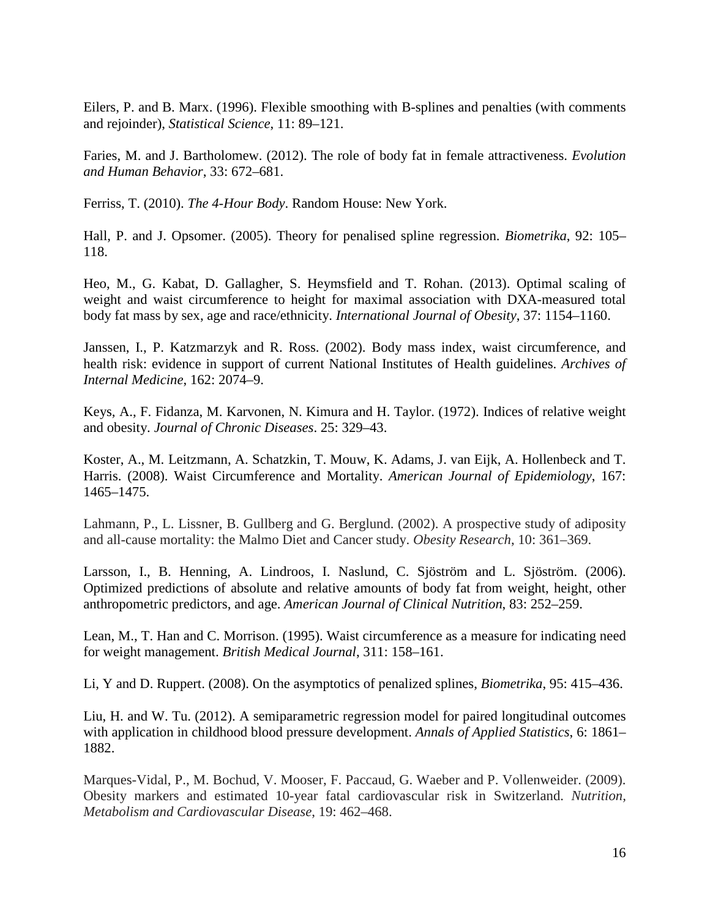Eilers, P. and B. Marx. (1996). Flexible smoothing with B-splines and penalties (with comments and rejoinder), *Statistical Science*, 11: 89–121.

Faries, M. and J. Bartholomew. (2012). The role of body fat in female attractiveness. *Evolution and Human Behavior*, 33: 672–681.

Ferriss, T. (2010). *The 4-Hour Body*. Random House: New York.

Hall, P. and J. Opsomer. (2005). Theory for penalised spline regression. *Biometrika*, 92: 105– 118.

Heo, M., G. Kabat, D. Gallagher, S. Heymsfield and T. Rohan. (2013). Optimal scaling of weight and waist circumference to height for maximal association with DXA-measured total body fat mass by sex, age and race/ethnicity. *International Journal of Obesity*, 37: 1154–1160.

Janssen, I., P. Katzmarzyk and R. Ross. (2002). Body mass index, waist circumference, and health risk: evidence in support of current National Institutes of Health guidelines. *Archives of Internal Medicine*, 162: 2074–9.

Keys, A., F. Fidanza, M. Karvonen, N. Kimura and H. Taylor. (1972). Indices of relative weight and obesity. *Journal of Chronic Diseases*. 25: 329–43.

Koster, A., M. Leitzmann, A. Schatzkin, T. Mouw, K. Adams, J. van Eijk, A. Hollenbeck and T. Harris. (2008). Waist Circumference and Mortality. *American Journal of Epidemiology*, 167: 1465–1475.

Lahmann, P., L. Lissner, B. Gullberg and G. Berglund. (2002). A prospective study of adiposity and all-cause mortality: the Malmo Diet and Cancer study. *Obesity Research*, 10: 361–369.

Larsson, I., B. Henning, A. Lindroos, I. Naslund, C. Sjöström and L. Sjöström. (2006). Optimized predictions of absolute and relative amounts of body fat from weight, height, other anthropometric predictors, and age. *American Journal of Clinical Nutrition*, 83: 252–259.

Lean, M., T. Han and C. Morrison. (1995). Waist circumference as a measure for indicating need for weight management. *British Medical Journal*, 311: 158–161.

Li, Y and D. Ruppert. (2008). On the asymptotics of penalized splines, *Biometrika*, 95: 415–436.

Liu, H. and W. Tu. (2012). A semiparametric regression model for paired longitudinal outcomes with application in childhood blood pressure development. *Annals of Applied Statistics*, 6: 1861– 1882.

Marques-Vidal, P., M. Bochud, V. Mooser, F. Paccaud, G. Waeber and P. Vollenweider. (2009). Obesity markers and estimated 10-year fatal cardiovascular risk in Switzerland. *Nutrition, Metabolism and Cardiovascular Disease*, 19: 462–468.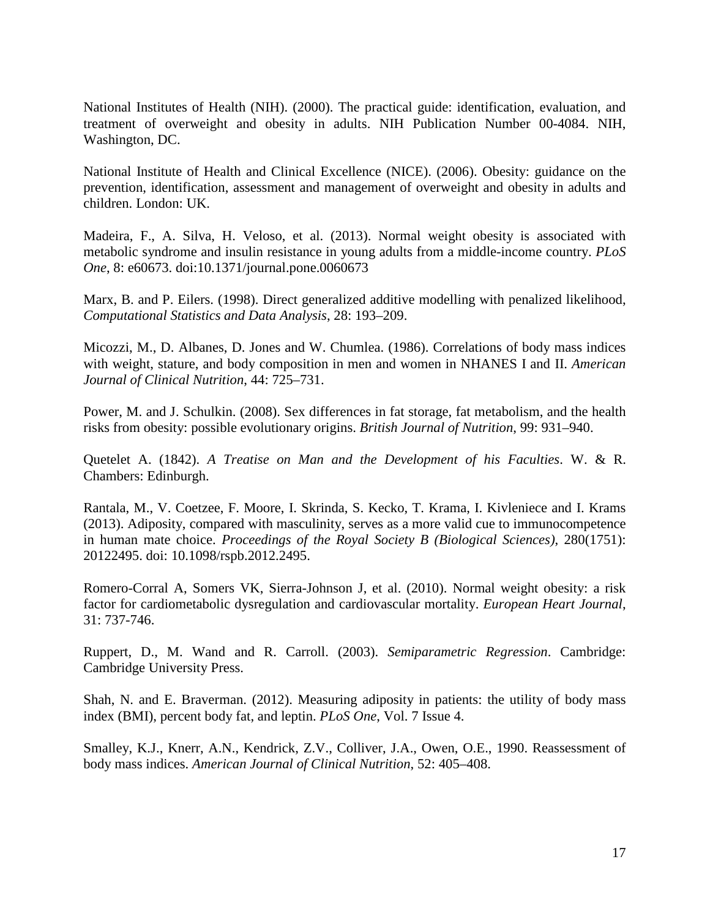National Institutes of Health (NIH). (2000). The practical guide: identification, evaluation, and treatment of overweight and obesity in adults. NIH Publication Number 00-4084. NIH, Washington, DC.

National Institute of Health and Clinical Excellence (NICE). (2006). Obesity: guidance on the prevention, identification, assessment and management of overweight and obesity in adults and children. London: UK.

Madeira, F., A. Silva, H. Veloso, et al. (2013). Normal weight obesity is associated with metabolic syndrome and insulin resistance in young adults from a middle-income country. *PLoS One*, 8: e60673. doi:10.1371/journal.pone.0060673

Marx, B. and P. Eilers. (1998). Direct generalized additive modelling with penalized likelihood, *Computational Statistics and Data Analysis*, 28: 193–209.

Micozzi, M., D. Albanes, D. Jones and W. Chumlea. (1986). Correlations of body mass indices with weight, stature, and body composition in men and women in NHANES I and II. *American Journal of Clinical Nutrition*, 44: 725–731.

Power, M. and J. Schulkin. (2008). Sex differences in fat storage, fat metabolism, and the health risks from obesity: possible evolutionary origins. *British Journal of Nutrition*, 99: 931–940.

Quetelet A. (1842). *A Treatise on Man and the Development of his Faculties*. W. & R. Chambers: Edinburgh.

Rantala, M., V. Coetzee, F. Moore, I. Skrinda, S. Kecko, T. Krama, I. Kivleniece and I. Krams (2013). Adiposity, compared with masculinity, serves as a more valid cue to immunocompetence in human mate choice. *Proceedings of the Royal Society B (Biological Sciences)*, 280(1751): 20122495. doi: 10.1098/rspb.2012.2495.

Romero-Corral A, Somers VK, Sierra-Johnson J, et al. (2010). Normal weight obesity: a risk factor for cardiometabolic dysregulation and cardiovascular mortality. *European Heart Journal*, 31: 737-746.

Ruppert, D., M. Wand and R. Carroll. (2003). *Semiparametric Regression*. Cambridge: Cambridge University Press.

Shah, N. and E. Braverman. (2012). Measuring adiposity in patients: the utility of body mass index (BMI), percent body fat, and leptin. *PLoS One*, Vol. 7 Issue 4.

Smalley, K.J., Knerr, A.N., Kendrick, Z.V., Colliver, J.A., Owen, O.E., 1990. Reassessment of body mass indices. *American Journal of Clinical Nutrition*, 52: 405–408.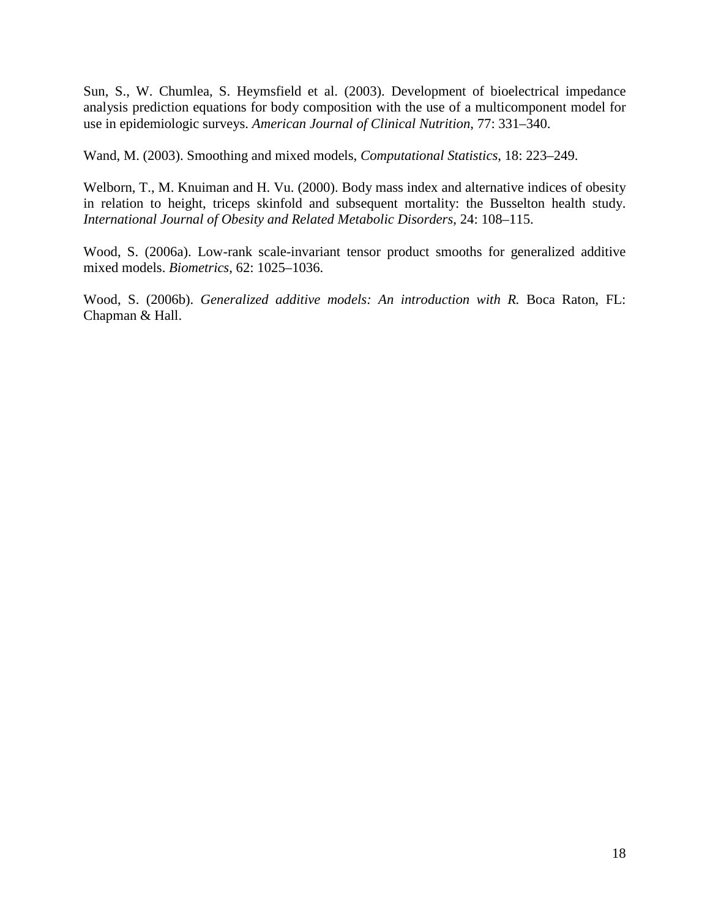Sun, S., W. Chumlea, S. Heymsfield et al. (2003). Development of bioelectrical impedance analysis prediction equations for body composition with the use of a multicomponent model for use in epidemiologic surveys. *American Journal of Clinical Nutrition*, 77: 331–340.

Wand, M. (2003). Smoothing and mixed models, *Computational Statistics*, 18: 223–249.

Welborn, T., M. Knuiman and H. Vu. (2000). Body mass index and alternative indices of obesity in relation to height, triceps skinfold and subsequent mortality: the Busselton health study. *International Journal of Obesity and Related Metabolic Disorders*, 24: 108–115.

Wood, S. (2006a). Low-rank scale-invariant tensor product smooths for generalized additive mixed models. *Biometrics*, 62: 1025–1036.

Wood, S. (2006b). *Generalized additive models: An introduction with R.* Boca Raton, FL: Chapman & Hall.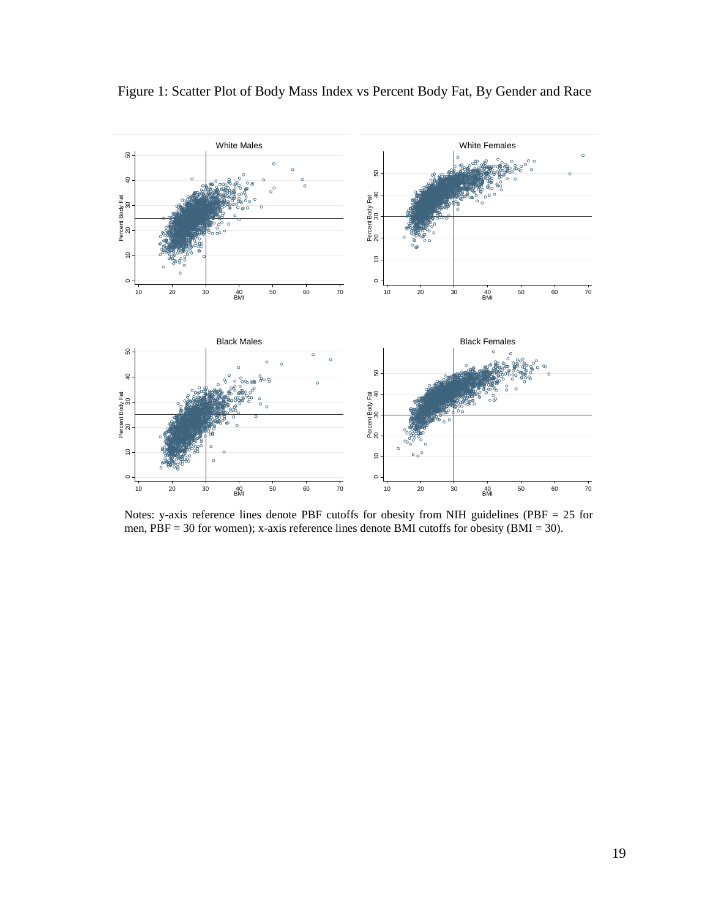

Figure 1: Scatter Plot of Body Mass Index vs Percent Body Fat, By Gender and Race

Notes: y-axis reference lines denote PBF cutoffs for obesity from NIH guidelines (PBF = 25 for men, PBF = 30 for women); x-axis reference lines denote BMI cutoffs for obesity (BMI = 30).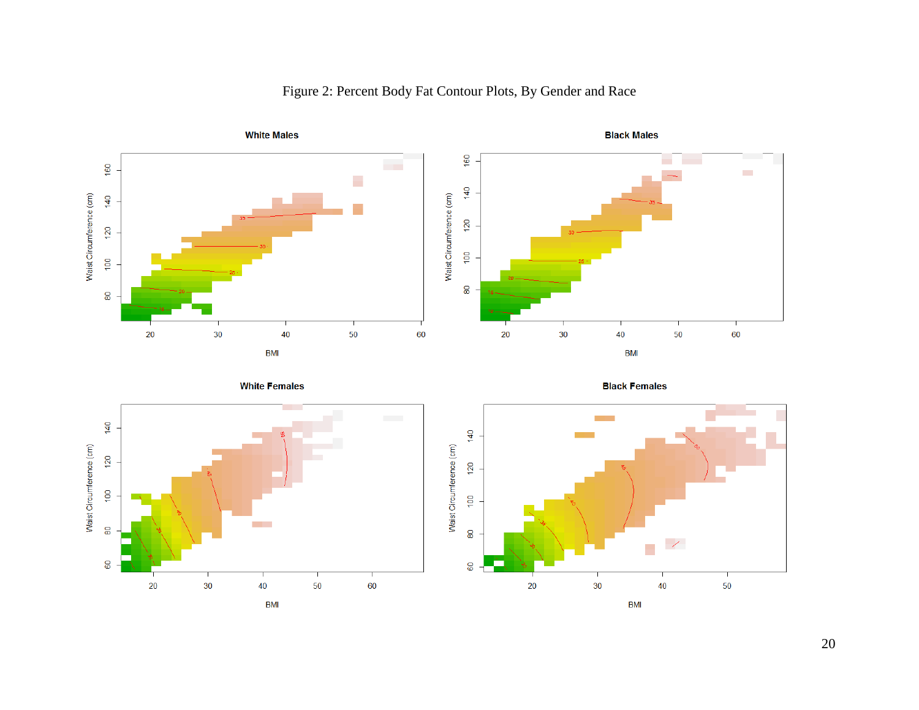

 $20\degree$ 

**BMI** 

 $20\,$ 

**BMI** 

# Figure 2: Percent Body Fat Contour Plots, By Gender and Race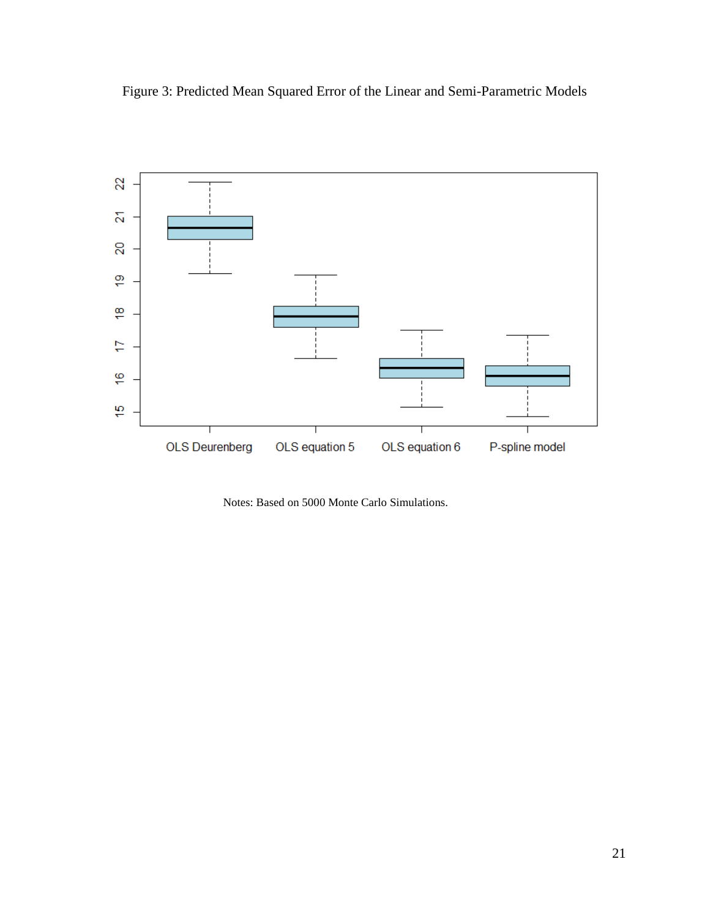



Notes: Based on 5000 Monte Carlo Simulations.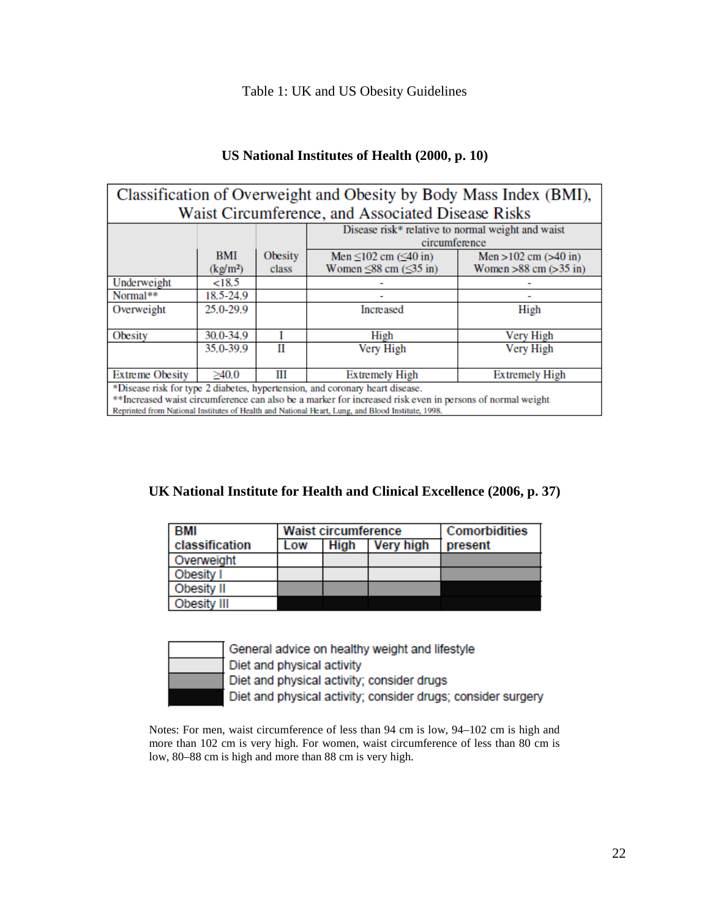Table 1: UK and US Obesity Guidelines

| US National Institutes of Health (2000, p. 10) |  |  |
|------------------------------------------------|--|--|
|------------------------------------------------|--|--|

|                        |                                                                    |         | Classification of Overweight and Obesity by Body Mass Index (BMI),                                        |                            |
|------------------------|--------------------------------------------------------------------|---------|-----------------------------------------------------------------------------------------------------------|----------------------------|
|                        |                                                                    |         | Waist Circumference, and Associated Disease Risks                                                         |                            |
|                        | Disease risk* relative to normal weight and waist<br>circumference |         |                                                                                                           |                            |
|                        | <b>BMI</b>                                                         | Obesity | Men $\leq 102$ cm ( $\leq 40$ in)                                                                         | Men > $102$ cm ( $>40$ in) |
|                        | (kg/m <sup>2</sup> )                                               | class   | Women $\leq$ 88 cm $(\leq$ 35 in)                                                                         | Women $>88$ cm $(>35$ in)  |
| Underweight            | < 18.5                                                             |         |                                                                                                           |                            |
| Normal**               | 18.5-24.9                                                          |         |                                                                                                           |                            |
| Overweight             | 25.0-29.9                                                          |         | Increased                                                                                                 | High                       |
| Obesity                | 30.0-34.9                                                          |         | High                                                                                                      | Very High                  |
|                        | 35.0-39.9                                                          | П       | Very High                                                                                                 | Very High                  |
| <b>Extreme Obesity</b> | $\geq 40.0$                                                        | Ш       | <b>Extremely High</b>                                                                                     | <b>Extremely High</b>      |
|                        |                                                                    |         | *Disease risk for type 2 diabetes, hypertension, and coronary heart disease.                              |                            |
|                        |                                                                    |         | ** Increased waist circumference can also be a marker for increased risk even in persons of normal weight |                            |
|                        |                                                                    |         | Reprinted from National Institutes of Health and National Heart, Lung, and Blood Institute, 1998.         |                            |

**UK National Institute for Health and Clinical Excellence (2006, p. 37)**

| <b>BMI</b>     | <b>Waist circumference</b> |      |                  | Comorbidities |
|----------------|----------------------------|------|------------------|---------------|
| classification | Low                        | High | <b>Very high</b> | present       |
| Overweight     |                            |      |                  |               |
| Obesity I      |                            |      |                  |               |
| Obesity II     |                            |      |                  |               |
| Obesity III    |                            |      |                  |               |

General advice on healthy weight and lifestyle Diet and physical activity

Diet and physical activity; consider drugs

Diet and physical activity; consider drugs; consider surgery

Notes: For men, waist circumference of less than 94 cm is low, 94–102 cm is high and more than 102 cm is very high. For women, waist circumference of less than 80 cm is low, 80–88 cm is high and more than 88 cm is very high.